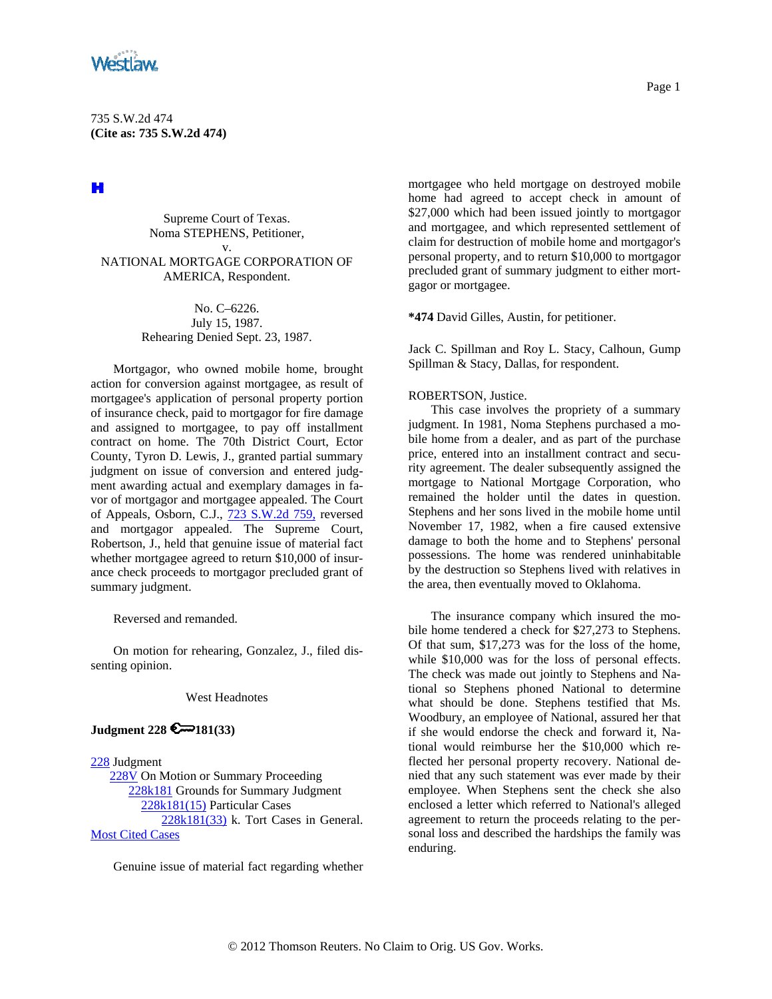

# H

Supreme Court of Texas. Noma STEPHENS, Petitioner, v. NATIONAL MORTGAGE CORPORATION OF AMERICA, Respondent.

> No. C–6226. July 15, 1987. Rehearing Denied Sept. 23, 1987.

Mortgagor, who owned mobile home, brought action for conversion against mortgagee, as result of mortgagee's application of personal property portion of insurance check, paid to mortgagor for fire damage and assigned to mortgagee, to pay off installment contract on home. The 70th District Court, Ector County, Tyron D. Lewis, J., granted partial summary judgment on issue of conversion and entered judgment awarding actual and exemplary damages in favor of mortgagor and mortgagee appealed. The Court of Appeals, Osborn, C.J., [723 S.W.2d 759,](http://www.westlaw.com/Find/Default.wl?rs=dfa1.0&vr=2.0&DB=713&FindType=Y&SerialNum=1986160825) reversed and mortgagor appealed. The Supreme Court, Robertson, J., held that genuine issue of material fact whether mortgagee agreed to return \$10,000 of insurance check proceeds to mortgagor precluded grant of summary judgment.

Reversed and remanded.

On motion for rehearing, Gonzalez, J., filed dissenting opinion.

### West Headnotes

# **Judgment 228 €** 181(33)

[228](http://www.westlaw.com/KeyNumber/Default.wl?rs=dfa1.0&vr=2.0&CMD=KEY&DocName=228) Judgment [228V](http://www.westlaw.com/KeyNumber/Default.wl?rs=dfa1.0&vr=2.0&CMD=KEY&DocName=228V) On Motion or Summary Proceeding [228k181](http://www.westlaw.com/KeyNumber/Default.wl?rs=dfa1.0&vr=2.0&CMD=KEY&DocName=228k181) Grounds for Summary Judgment [228k181\(15\)](http://www.westlaw.com/KeyNumber/Default.wl?rs=dfa1.0&vr=2.0&CMD=KEY&DocName=228k181%2815%29) Particular Cases [228k181\(33\)](http://www.westlaw.com/KeyNumber/Default.wl?rs=dfa1.0&vr=2.0&CMD=KEY&DocName=228k181%2833%29) k. Tort Cases in General. [Most Cited Cases](http://www.westlaw.com/Digest/Default.wl?rs=dfa1.0&vr=2.0&CMD=MCC&DocName=228k181%2833%29)

Genuine issue of material fact regarding whether

mortgagee who held mortgage on destroyed mobile home had agreed to accept check in amount of \$27,000 which had been issued jointly to mortgagor and mortgagee, and which represented settlement of claim for destruction of mobile home and mortgagor's personal property, and to return \$10,000 to mortgagor precluded grant of summary judgment to either mortgagor or mortgagee.

**\*474** David Gilles, Austin, for petitioner.

Jack C. Spillman and Roy L. Stacy, Calhoun, Gump Spillman & Stacy, Dallas, for respondent.

# ROBERTSON, Justice.

This case involves the propriety of a summary judgment. In 1981, Noma Stephens purchased a mobile home from a dealer, and as part of the purchase price, entered into an installment contract and security agreement. The dealer subsequently assigned the mortgage to National Mortgage Corporation, who remained the holder until the dates in question. Stephens and her sons lived in the mobile home until November 17, 1982, when a fire caused extensive damage to both the home and to Stephens' personal possessions. The home was rendered uninhabitable by the destruction so Stephens lived with relatives in the area, then eventually moved to Oklahoma.

The insurance company which insured the mobile home tendered a check for \$27,273 to Stephens. Of that sum, \$17,273 was for the loss of the home, while \$10,000 was for the loss of personal effects. The check was made out jointly to Stephens and National so Stephens phoned National to determine what should be done. Stephens testified that Ms. Woodbury, an employee of National, assured her that if she would endorse the check and forward it, National would reimburse her the \$10,000 which reflected her personal property recovery. National denied that any such statement was ever made by their employee. When Stephens sent the check she also enclosed a letter which referred to National's alleged agreement to return the proceeds relating to the personal loss and described the hardships the family was enduring.